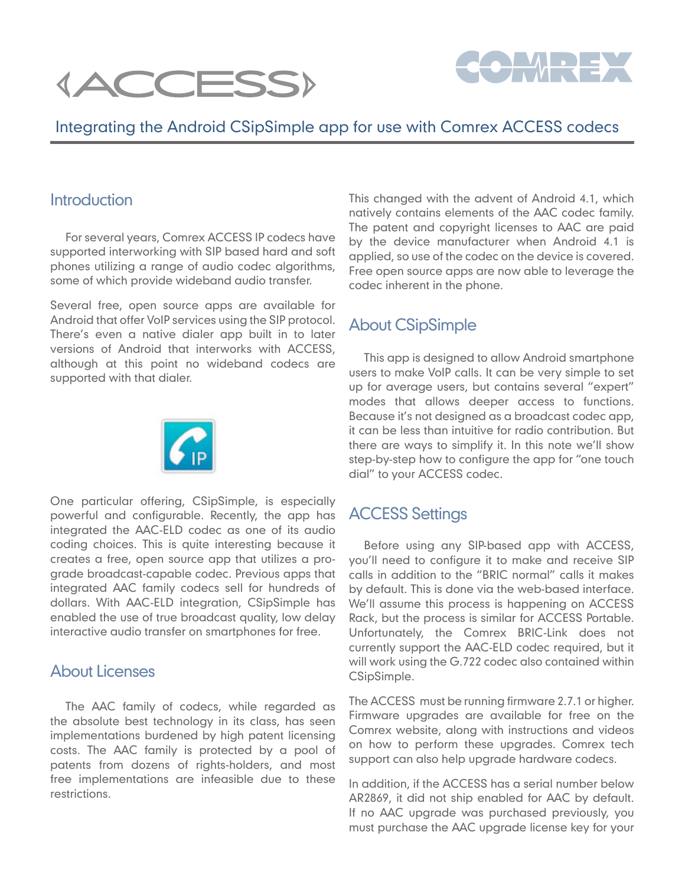



# Integrating the Android CSipSimple app for use with Comrex ACCESS codecs

## **Introduction**

For several years, Comrex ACCESS IP codecs have supported interworking with SIP based hard and soft phones utilizing a range of audio codec algorithms, some of which provide wideband audio transfer.

Several free, open source apps are available for Android that offer VoIP services using the SIP protocol. There's even a native dialer app built in to later versions of Android that interworks with ACCESS, although at this point no wideband codecs are supported with that dialer.



One particular offering, CSipSimple, is especially powerful and configurable. Recently, the app has integrated the AAC-ELD codec as one of its audio coding choices. This is quite interesting because it creates a free, open source app that utilizes a prograde broadcast-capable codec. Previous apps that integrated AAC family codecs sell for hundreds of dollars. With AAC-ELD integration, CSipSimple has enabled the use of true broadcast quality, low delay interactive audio transfer on smartphones for free.

## About Licenses

The AAC family of codecs, while regarded as the absolute best technology in its class, has seen implementations burdened by high patent licensing costs. The AAC family is protected by a pool of patents from dozens of rights-holders, and most free implementations are infeasible due to these restrictions.

This changed with the advent of Android 4.1, which natively contains elements of the AAC codec family. The patent and copyright licenses to AAC are paid by the device manufacturer when Android 4.1 is applied, so use of the codec on the device is covered. Free open source apps are now able to leverage the codec inherent in the phone.

# About CSipSimple

This app is designed to allow Android smartphone users to make VoIP calls. It can be very simple to set up for average users, but contains several "expert" modes that allows deeper access to functions. Because it's not designed as a broadcast codec app, it can be less than intuitive for radio contribution. But there are ways to simplify it. In this note we'll show step-by-step how to configure the app for "one touch dial" to your ACCESS codec.

## ACCESS Settings

Before using any SIP-based app with ACCESS, you'll need to configure it to make and receive SIP calls in addition to the "BRIC normal" calls it makes by default. This is done via the web-based interface. We'll assume this process is happening on ACCESS Rack, but the process is similar for ACCESS Portable. Unfortunately, the Comrex BRIC-Link does not currently support the AAC-ELD codec required, but it will work using the G.722 codec also contained within CSipSimple.

The ACCESS must be running firmware 2.7.1 or higher. Firmware upgrades are available for free on the Comrex website, along with instructions and videos on how to perform these upgrades. Comrex tech support can also help upgrade hardware codecs.

In addition, if the ACCESS has a serial number below AR2869, it did not ship enabled for AAC by default. If no AAC upgrade was purchased previously, you must purchase the AAC upgrade license key for your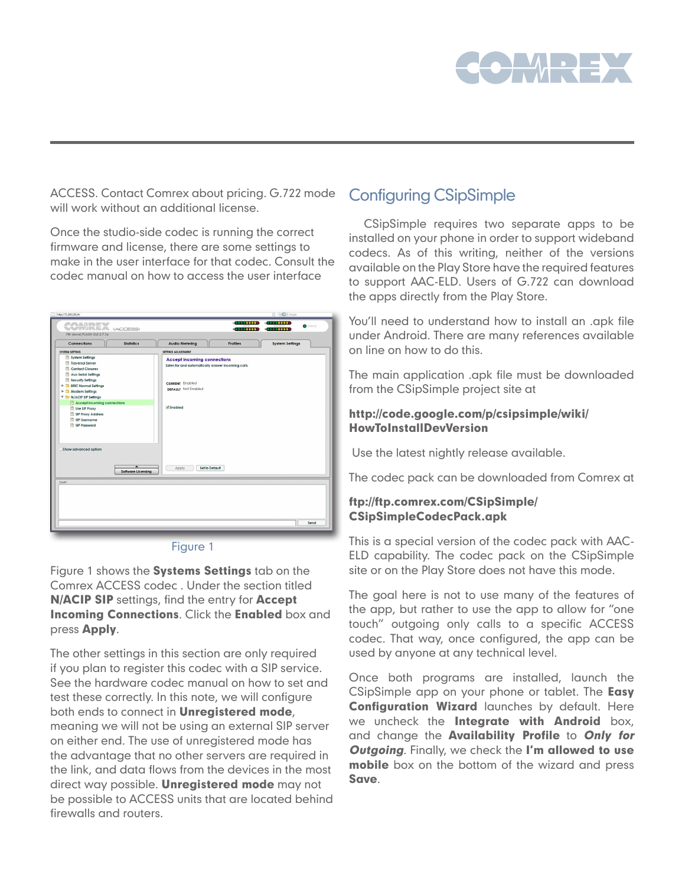

ACCESS. Contact Comrex about pricing. G.722 mode will work without an additional license.

Once the studio-side codec is running the correct firmware and license, there are some settings to make in the user interface for that codec. Consult the codec manual on how to access the user interface

| <b>Connections</b><br><b>Statistics</b>                                                                                                                                                                                                                                                                  | <b>Audio Metering</b><br><b>Profiles</b><br><b>System Settings</b>                                                                                               |
|----------------------------------------------------------------------------------------------------------------------------------------------------------------------------------------------------------------------------------------------------------------------------------------------------------|------------------------------------------------------------------------------------------------------------------------------------------------------------------|
| <b>SYSTEM SETTING</b>                                                                                                                                                                                                                                                                                    | SETTING ADJUSTMENT                                                                                                                                               |
| System Sellings<br>Traversal Server<br>Contact Closures<br>Aux Serial Sellings<br>Security Settings<br><b>E</b> BRIC Normal Settings<br>▶ ● Modern Sellings<br><b>V &amp; N/ACIP SIP Sellings</b><br>Accept incoming connections<br>Use SIP Proxy<br>SIP Proxy Address<br>图 SIP Username<br>SIP Password | <b>Accept incoming connections</b><br>Listen for and automatically answer incoming calls.<br><b>CURRENT Enabled</b><br><b>DEFAULT</b> Not Enabled<br>$V$ Enabled |
| Show advanced option:<br>$\overline{\phantom{a}}$<br><b>Software Licensing</b><br>CHAT                                                                                                                                                                                                                   | Set to Default<br>Apply                                                                                                                                          |

Figure 1

Figure 1 shows the Systems Settings tab on the Comrex ACCESS codec . Under the section titled N/ACIP SIP settings, find the entry for Accept Incoming Connections. Click the Enabled box and press Apply.

The other settings in this section are only required if you plan to register this codec with a SIP service. See the hardware codec manual on how to set and test these correctly. In this note, we will configure both ends to connect in **Unregistered mode**, meaning we will not be using an external SIP server on either end. The use of unregistered mode has the advantage that no other servers are required in the link, and data flows from the devices in the most direct way possible. **Unregistered mode** may not be possible to ACCESS units that are located behind firewalls and routers.

# Configuring CSipSimple

CSipSimple requires two separate apps to be installed on your phone in order to support wideband codecs. As of this writing, neither of the versions available on the Play Store have the required features to support AAC-ELD. Users of G.722 can download the apps directly from the Play Store.

You'll need to understand how to install an .apk file under Android. There are many references available on line on how to do this.

The main application .apk file must be downloaded from the CSipSimple project site at

### http://code.google.com/p/csipsimple/wiki/ HowToInstallDevVersion

Use the latest nightly release available.

The codec pack can be downloaded from Comrex at

### ftp://ftp.comrex.com/CSipSimple/ CSipSimpleCodecPack.apk

This is a special version of the codec pack with AAC-ELD capability. The codec pack on the CSipSimple site or on the Play Store does not have this mode.

The goal here is not to use many of the features of the app, but rather to use the app to allow for "one touch" outgoing only calls to a specific ACCESS codec. That way, once configured, the app can be used by anyone at any technical level.

Once both programs are installed, launch the CSipSimple app on your phone or tablet. The Easy Configuration Wizard launches by default. Here we uncheck the Integrate with Android box, and change the Availability Profile to Only for **Outgoing.** Finally, we check the I'm allowed to use mobile box on the bottom of the wizard and press Save.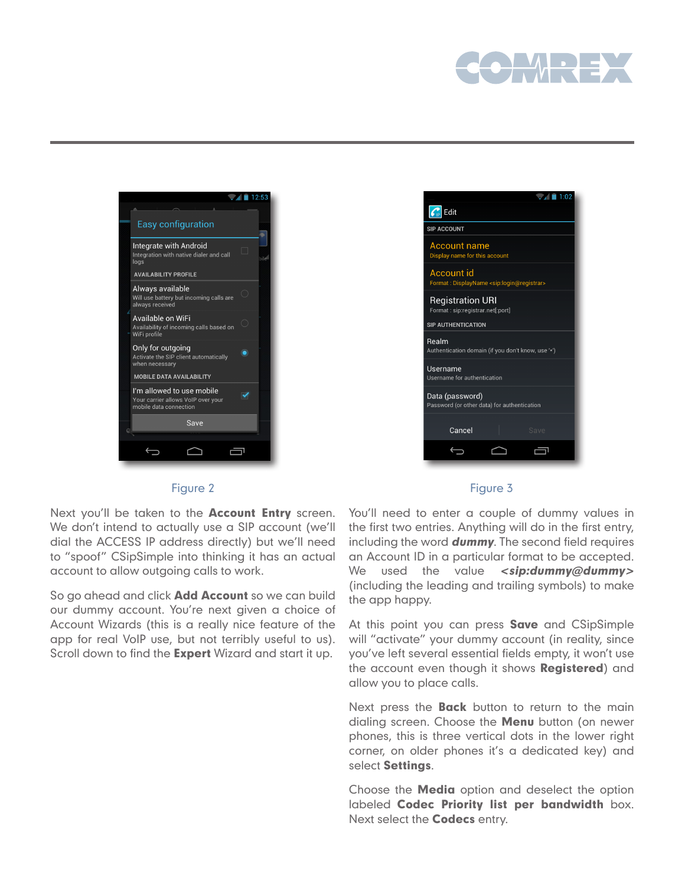



#### $\sqrt{4}$  1:02  $\mathcal{C}_{\mathbb{P}}$  Edit **SIP ACCOUNT** Account name Display name for this account Account id ayName <sip:login@registrar> Format: Disp **Registration URI** Format: sip:registrar.net[:port] SIP AUTHENTICATION Realm Authentication domain (if you don't know, use '\*') Username Username for authentication Data (password) Password (or other data) for authentication Cancel  $\triangle$  $\overline{\mathbb{C}}$ Ù

#### Figure 2

### Figure 3

Next you'll be taken to the **Account Entry** screen. We don't intend to actually use a SIP account (we'll dial the ACCESS IP address directly) but we'll need to "spoof" CSipSimple into thinking it has an actual account to allow outgoing calls to work.

So go ahead and click **Add Account** so we can build our dummy account. You're next given a choice of Account Wizards (this is a really nice feature of the app for real VoIP use, but not terribly useful to us). Scroll down to find the **Expert** Wizard and start it up.

You'll need to enter a couple of dummy values in the first two entries. Anything will do in the first entry, including the word **dummy**. The second field requires an Account ID in a particular format to be accepted. We used the value <sip:dummy@dummy> (including the leading and trailing symbols) to make the app happy.

At this point you can press **Save** and CSipSimple will "activate" your dummy account (in reality, since you've left several essential fields empty, it won't use the account even though it shows Registered) and allow you to place calls.

Next press the **Back** button to return to the main dialing screen. Choose the **Menu** button (on newer phones, this is three vertical dots in the lower right corner, on older phones it's a dedicated key) and select Settings.

Choose the **Media** option and deselect the option labeled Codec Priority list per bandwidth box. Next select the **Codecs** entry.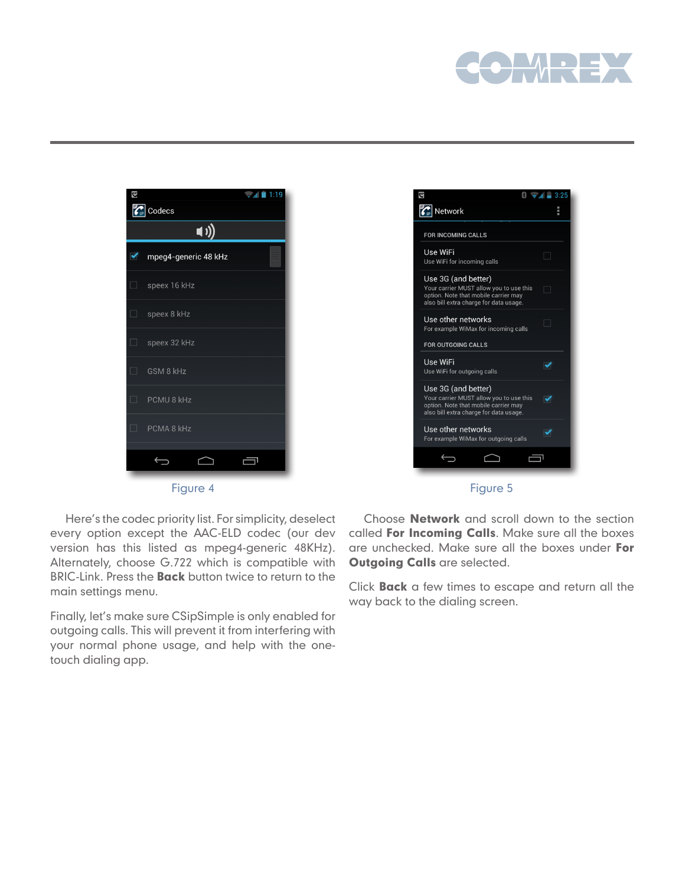





Here's the codec priority list. For simplicity, deselect every option except the AAC-ELD codec (our dev version has this listed as mpeg4-generic 48KHz). Alternately, choose G.722 which is compatible with BRIC-Link. Press the **Back** button twice to return to the main settings menu.

Finally, let's make sure CSipSimple is only enabled for outgoing calls. This will prevent it from interfering with your normal phone usage, and help with the onetouch dialing app.

Choose Network and scroll down to the section called For Incoming Calls. Make sure all the boxes are unchecked. Make sure all the boxes under For **Outgoing Calls are selected.** 

Click Back a few times to escape and return all the way back to the dialing screen.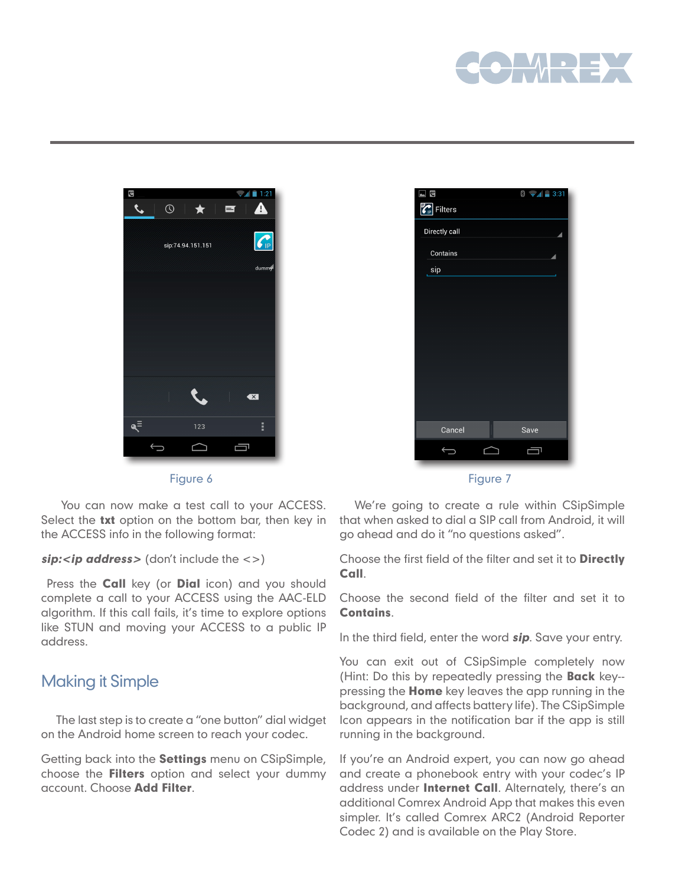



Figure 6

 You can now make a test call to your ACCESS. Select the txt option on the bottom bar, then key in the ACCESS info in the following format:

### $\textit{sip:} \textit{zip address>}$  (don't include the  $\textit{<=}$ )

Press the **Call** key (or **Dial** icon) and you should complete a call to your ACCESS using the AAC-ELD algorithm. If this call fails, it's time to explore options like STUN and moving your ACCESS to a public IP address.

## Making it Simple

The last step is to create a "one button" dial widget on the Android home screen to reach your codec.

Getting back into the **Settings** menu on CSipSimple, choose the **Filters** option and select your dummy account. Choose Add Filter.

| <b>CIP</b><br>$\overline{\phantom{a}}$ |   | $\bullet$ $\mathcal{A}$ = 3:31<br>$\frac{1}{2}$ |  |
|----------------------------------------|---|-------------------------------------------------|--|
| Filters<br>$\boldsymbol{\zeta}$        |   |                                                 |  |
| Directly call                          |   |                                                 |  |
| Contains                               |   |                                                 |  |
| sip                                    |   |                                                 |  |
|                                        |   |                                                 |  |
|                                        |   |                                                 |  |
|                                        |   |                                                 |  |
|                                        |   |                                                 |  |
|                                        |   |                                                 |  |
|                                        |   |                                                 |  |
|                                        |   |                                                 |  |
|                                        |   |                                                 |  |
| Cancel                                 |   | Save                                            |  |
|                                        | ⌒ |                                                 |  |
|                                        |   |                                                 |  |

Figure 7

We're going to create a rule within CSipSimple that when asked to dial a SIP call from Android, it will go ahead and do it "no questions asked".

Choose the first field of the filter and set it to Directly Call.

Choose the second field of the filter and set it to Contains.

In the third field, enter the word **sip**. Save your entry.

You can exit out of CSipSimple completely now (Hint: Do this by repeatedly pressing the **Back** key-pressing the **Home** key leaves the app running in the background, and affects battery life). The CSipSimple Icon appears in the notification bar if the app is still running in the background.

If you're an Android expert, you can now go ahead and create a phonebook entry with your codec's IP address under **Internet Call**. Alternately, there's an additional Comrex Android App that makes this even simpler. It's called Comrex ARC2 (Android Reporter Codec 2) and is available on the Play Store.